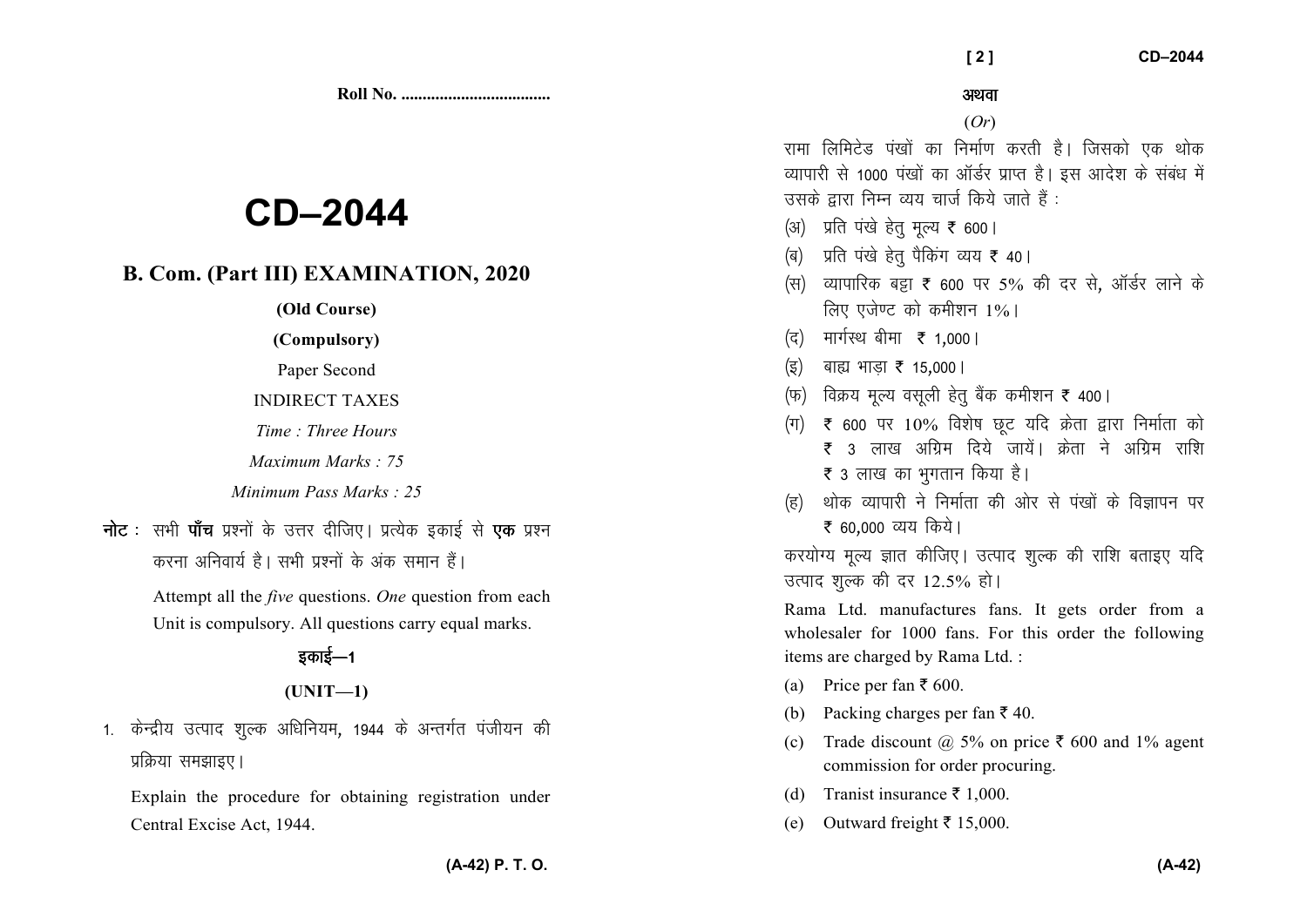# **CD-2044**

### B. Com. (Part III) EXAMINATION, 2020

(Old Course)

(Compulsory)

Paper Second

**INDIRECT TAXES** 

Time: Three Hours

Maximum Marks: 75

Minimum Pass Marks : 25

**नोट** : सभी **पाँच** प्रश्नों के उत्तर दीजिए। प्रत्येक इकाई से **एक** प्रश्न करना अनिवार्य है। सभी प्रश्नों के अंक समान हैं।

> Attempt all the *five* questions. One question from each Unit is compulsory. All questions carry equal marks.

## डकाई—1

### $(UNIT-1)$

1. केन्द्रीय उत्पाद शुल्क अधिनियम, 1944 के अन्तर्गत पंजीयन की प्रक्रिया समझाइए।

Explain the procedure for obtaining registration under Central Excise Act, 1944.

अथवा

 $121$ 

 $(Or)$ 

रामा लिमिटेड पंखों का निर्माण करती है। जिसको एक थोक व्यापारी से 1000 पंखों का ऑर्डर प्राप्त है। इस आदेश के संबंध में उसके द्वारा निम्न व्यय चार्ज किये जाते हैं :

- (अ) प्रति पंखे हेतु मृल्य ₹ 600।
- (ब) प्रति पंखे हेत् पैकिंग व्यय ₹ 40।
- (स) व्यापारिक बड़ा ₹ 600 पर 5% की दर से. ऑर्डर लाने के लिए एजेण्ट को कमीशन 1%।
- (द) मार्गस्थ बीमा ₹ 1,000 |
- (इ) बाह्य भाड़ा ₹ 15,000।
- (फ) विक्रय मूल्य वसूली हेतु बैंक कमीशन ₹ 400।
- (ग)  $\bar{\tau}$  600 पर 10% विशेष छूट यदि क्रेता द्वारा निर्माता को ₹ ३ लाख अग्रिम दिये जायें। क्रेता ने अग्रिम राशि ₹ 3 लाख का भगतान किया है।
- थोक व्यापारी ने निर्माता की ओर से पंखों के विज्ञापन पर ₹ 60,000 व्यय किये।

करयोग्य मूल्य ज्ञात कीजिए। उत्पाद शुल्क की राशि बताइए यदि उत्पाद शुल्क की दर 12.5% हो।

Rama Ltd. manufactures fans. It gets order from a wholesaler for 1000 fans. For this order the following items are charged by Rama Ltd.:

- (a) Price per fan  $\bar{x}$  600.
- Packing charges per fan ₹ 40. (b)
- Trade discount @ 5% on price  $\bar{\tau}$  600 and 1% agent  $(c)$ commission for order procuring.
- (d) Tranist insurance  $\bar{\tau}$  1.000.
- (e) Outward freight  $\bar{\tau}$  15,000.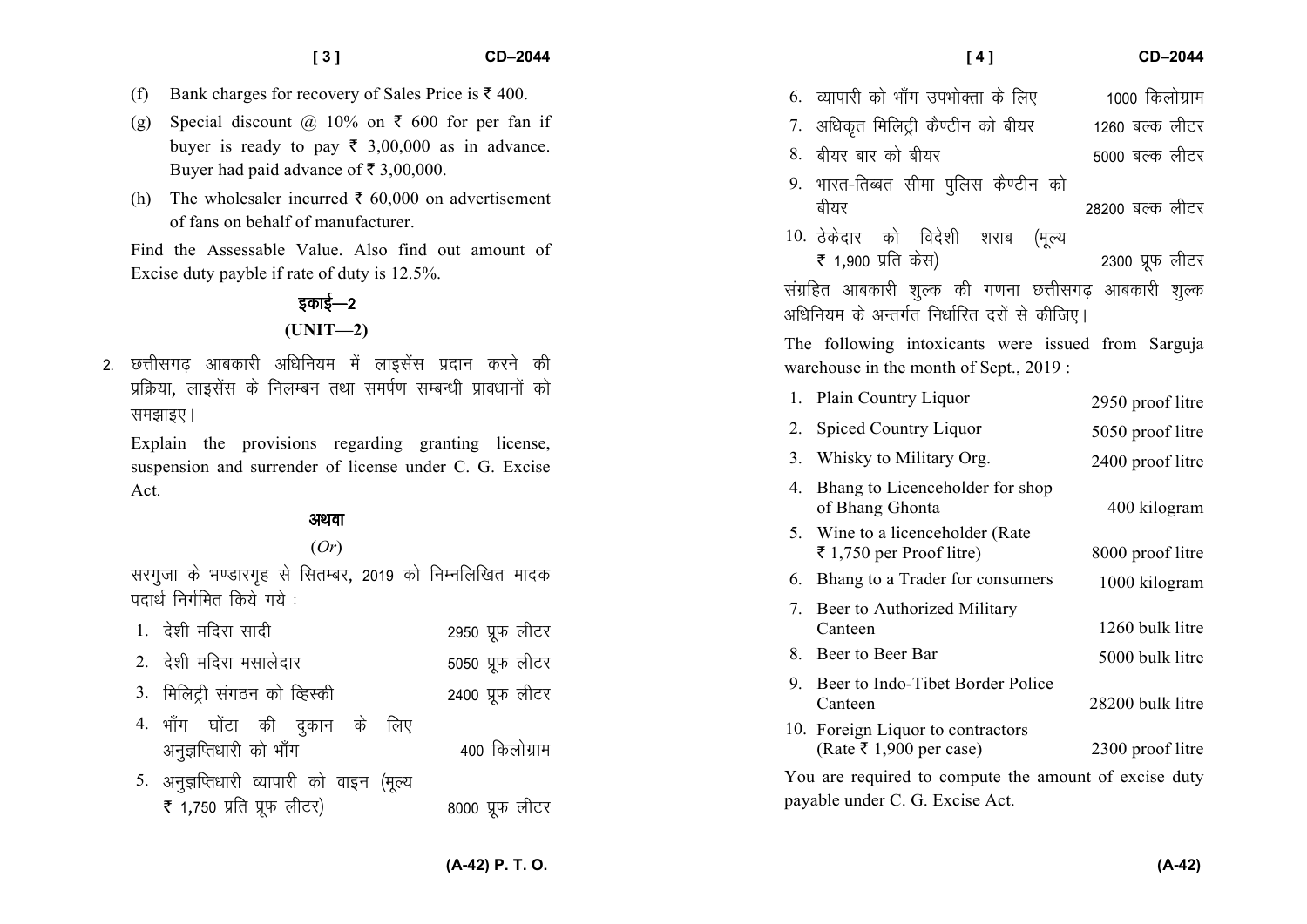$CD-2044$ 

- (g) Special discount  $\omega$  10% on  $\bar{\tau}$  600 for per fan if buyer is ready to pay  $\bar{\xi}$  3,00,000 as in advance. Buyer had paid advance of  $\overline{\xi}$  3,00,000.
- (h) The wholesaler incurred  $\bar{\xi}$  60,000 on advertisement of fans on behalf of manufacturer

Find the Assessable Value. Also find out amount of Excise duty payble if rate of duty is 12.5%.

### इकाई—2  $(UNIT-2)$

2. छत्तीसगढ आबकारी अधिनियम में लाइसेंस प्रदान करने की प्रक्रिया, लाइसेंस के निलम्बन तथा समर्पण सम्बन्धी प्रावधानों को समझाइए।

Explain the provisions regarding granting license, suspension and surrender of license under C. G. Excise Act.

#### अथवा

### $(Or)$

सरगजा के भण्डारगह से सितम्बर, 2019 को निम्नलिखित मादक पदार्थ निर्गमित किये गये :

| 1. देशी मदिरा सादी                                                     | 2950 प्रूफ लीटर |
|------------------------------------------------------------------------|-----------------|
| 2. देशी मदिरा मसालेदार                                                 | 5050 प्रूफ लीटर |
| 3. मिलिट्री संगठन को व्हिस्की                                          | 2400 प्रूफ लीटर |
| 4. भाँग घोंटा की दुकान के लिए<br>अनुज्ञप्तिधारी को भाँग                | 400 किलोग्राम   |
| 5. अनुज्ञप्तिधारी व्यापारी को वाइन (मूल्य<br>₹ 1,750 प्रति प्रूफ लीटर) | 8000 प्रूफ लीटर |

| [4]                                                                                                  | CD-2044          |
|------------------------------------------------------------------------------------------------------|------------------|
| 6. व्यापारी को भाँग उपभोक्ता के लिए                                                                  | 1000 किलोग्राम   |
| 7. अधिकृत मिलिट्री कैण्टीन को बीयर                                                                   | 1260 बल्क लीटर   |
| 8. बीयर बार को बीयर                                                                                  | 5000 बल्क लीटर   |
| 9. भारत-तिब्बत सीमा पुलिस कैण्टीन को<br>बीयर                                                         | 28200 बल्क लीटर  |
| 10. ठेकेदार को विदेशी शराब (मूल्य<br>₹ 1,900 प्रति केस)                                              | 2300 प्रूफ लीटर  |
| संग्रहित आबकारी शुल्क की गणना छत्तीसगढ़ आबकारी शुल्क<br>अधिनियम के अन्तर्गत निर्धारित दरों से कीजिए। |                  |
| The following intoxicants were issued from Sarguja<br>warehouse in the month of Sept., 2019 :        |                  |
| 1. Plain Country Liquor                                                                              | 2950 proof litre |
| 2. Spiced Country Liquor                                                                             | 5050 proof litre |
|                                                                                                      |                  |

|    | 3. Whisky to Military Org.                                   | 2400 proof litre |
|----|--------------------------------------------------------------|------------------|
| 4. | Bhang to Licenceholder for shop<br>of Bhang Ghonta           | 400 kilogram     |
|    | 5. Wine to a licenceholder (Rate<br>₹ 1,750 per Proof litre) | 8000 proof litre |
| 6. | Bhang to a Trader for consumers                              | 1000 kilogram    |
|    | 7. Beer to Authorized Military<br>Canteen                    | 1260 bulk litre  |
|    | 8. Beer to Beer Bar                                          | 5000 bulk litre  |
|    | 9. Beer to Indo-Tibet Border Police<br>Canteen               | 28200 bulk litre |
|    | 10. Foreign Liquor to contractors<br>(Rate ₹ 1,900 per case) | 2300 proof litre |
|    | You are required to compute the amount of excise duty        |                  |

payable under C. G. Excise Act.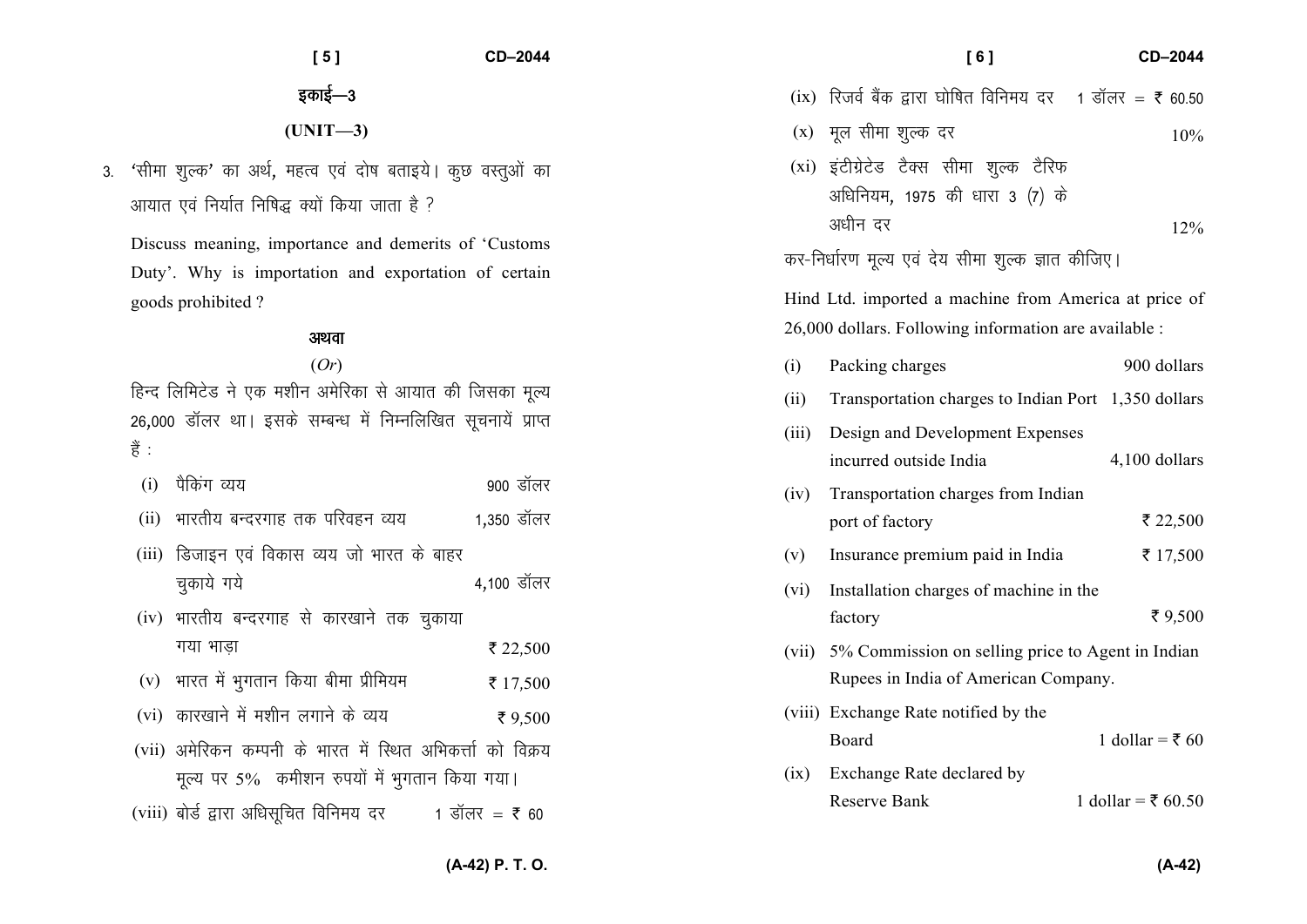| [5]                                                                                                                                                                                                                               | CD-2044                | [6]<br>CD-2044                                                                                                                                                                                                                                                           |
|-----------------------------------------------------------------------------------------------------------------------------------------------------------------------------------------------------------------------------------|------------------------|--------------------------------------------------------------------------------------------------------------------------------------------------------------------------------------------------------------------------------------------------------------------------|
| इकाई—3                                                                                                                                                                                                                            |                        | (ix) रिजर्व बैंक द्वारा घोषित विनिमय दर 1 डॉलर = ₹ 60.50                                                                                                                                                                                                                 |
| $(UNIT-3)$                                                                                                                                                                                                                        |                        | (x) मूल सीमा शुल्क दर<br>10%                                                                                                                                                                                                                                             |
| 'सीमा शुल्क' का अर्थ, महत्व एवं दोष बताइये। कुछ वस्तुओं का<br>3.<br>आयात एवं निर्यात निषिद्ध क्यों किया जाता है ?<br>Discuss meaning, importance and demerits of 'Customs<br>Duty'. Why is importation and exportation of certain |                        | (xi) इंटीग्रेटेड टैक्स सीमा शुल्क टैरिफ<br>अधिनियम, 1975 की धारा 3 (7) के<br>अधीन दर<br>12%<br>कर-निर्धारण मूल्य एवं देय सीमा शुल्क ज्ञात कीजिए।                                                                                                                         |
| goods prohibited?                                                                                                                                                                                                                 |                        | Hind Ltd. imported a machine from America at price of<br>26,000 dollars. Following information are available :                                                                                                                                                           |
| अथवा<br>(Or)<br>हिन्द लिमिटेड ने एक मशीन अमेरिका से आयात की जिसका मूल्य<br>26,000 डॉलर था। इसके सम्बन्ध में निम्नलिखित सूचनायें प्राप्त<br>हैं :<br>पैकिंग व्यय<br>(i)<br>भारतीय बन्दरगाह तक परिवहन व्यय<br>(ii)                  | 900 डॉलर<br>1,350 डॉलर | 900 dollars<br>(i)<br>Packing charges<br>Transportation charges to Indian Port 1,350 dollars<br>(ii)<br>Design and Development Expenses<br>(iii)<br>incurred outside India<br>4,100 dollars<br>Transportation charges from Indian<br>(iv)<br>₹ 22,500<br>port of factory |
| (iii) डिजाइन एवं विकास व्यय जो भारत के बाहर<br>चुकाये गये<br>(iv) भारतीय बन्दरगाह से कारखाने तक चुकाया<br>गया भाडा                                                                                                                | 4,100 डॉलर<br>₹ 22,500 | ₹ 17,500<br>Insurance premium paid in India<br>(v)<br>Installation charges of machine in the<br>(vi)<br>₹ $9,500$<br>factory<br>(vii) 5% Commission on selling price to Agent in Indian                                                                                  |
| भारत में भुगतान किया बीमा प्रीमियम<br>(v)                                                                                                                                                                                         | ₹ 17,500               | Rupees in India of American Company.                                                                                                                                                                                                                                     |
| (vi) कारखाने में मशीन लगाने के व्यय<br>(vii) अमेरिकन कम्पनी के भारत में स्थित अभिकर्त्ता को विक्रय<br>मूल्य पर 5% कमीशन रुपयों में भुगतान किया गया।<br>(viii) बोर्ड द्वारा अधिसूचित विनिमय दर 1 डॉलर = ₹ 60                       | ₹ 9,500                | (viii) Exchange Rate notified by the<br>1 dollar = $\overline{5}$ 60<br>Board<br>Exchange Rate declared by<br>(1X)<br>Reserve Bank<br>1 dollar = $\bar{x}$ 60.50                                                                                                         |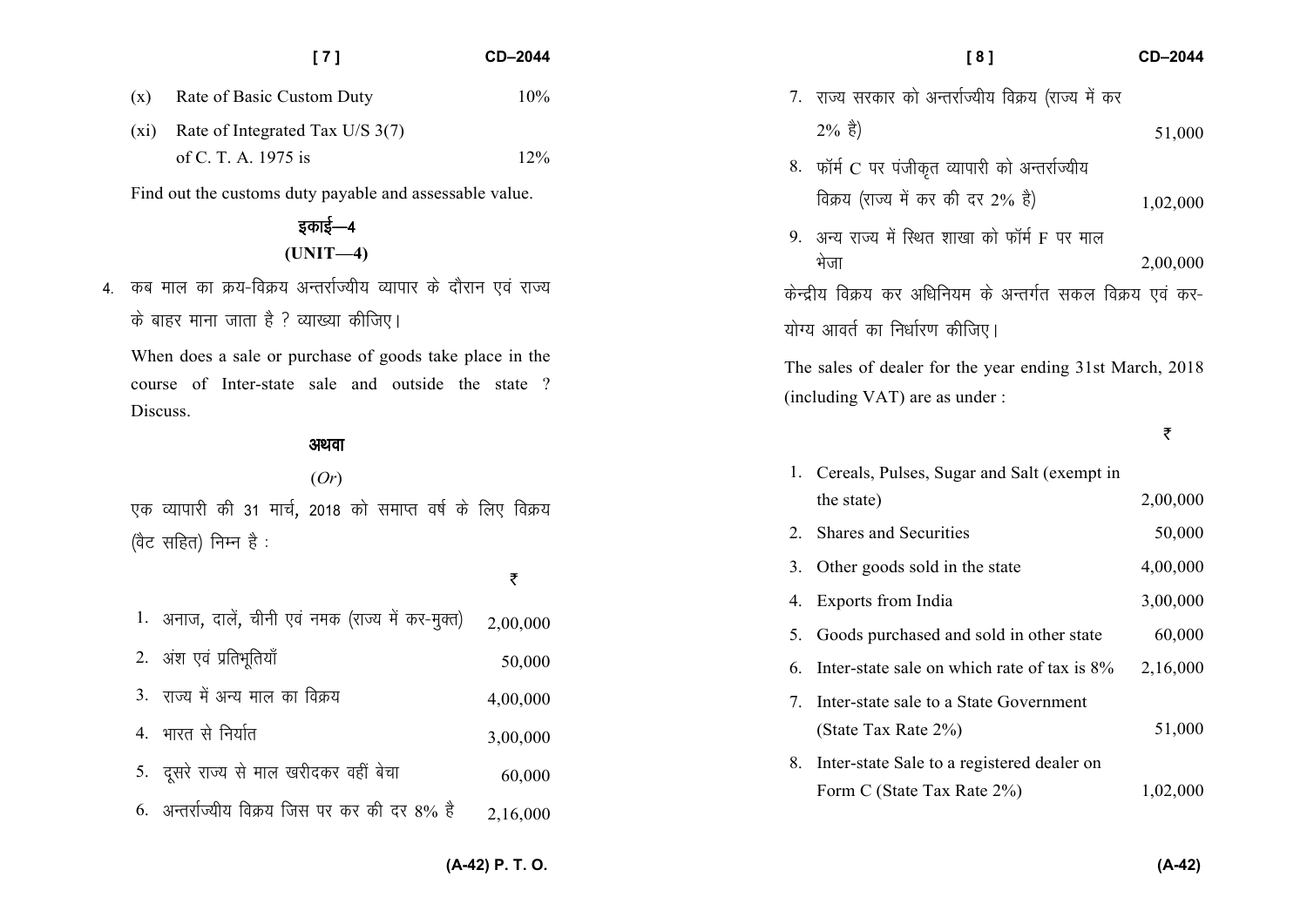|                | [7]                                                     | CD-2044 |             |
|----------------|---------------------------------------------------------|---------|-------------|
| $(\mathrm{x})$ | Rate of Basic Custom Duty                               | 10%     | राज्य       |
| (X1)           | Rate of Integrated Tax U/S 3(7)                         |         | $2\%$       |
|                | of C. T. A. 1975 is                                     | 12%     | फॉर्म<br>8. |
|                | Find out the customs duty payable and assessable value. |         | विक्र       |

इकाई—4 **(UNIT—4)** 

4. कब माल का क्रय-विक्रय अन्तर्राज्यीय व्यापार के दौरान एवं राज्य के बाहर माना जाता है ? व्याख्या कीजिए।

When does a sale or purchase of goods take place in the course of Inter-state sale and outside the state ? Discuss.

#### अथवा

(*Or*) एक व्यापारी की 31 मार्च, 2018 को समाप्त वर्ष के लिए विक्रय (वैट सहित) निम्न है $:$ 

₹

| 1. अनाज, दालें, चीनी एवं नमक (राज्य में कर-मुक्त) | 2,00,000 |
|---------------------------------------------------|----------|
| 2. अंश एवं प्रतिभूतियाँ                           | 50,000   |
| 3. राज्य में अन्य माल का विक्रय                   | 4,00,000 |
| 4. भारत से निर्यात                                | 3,00,000 |
| 5. दूसरे राज्य से माल खरीदकर वहीं बेचा            | 60,000   |
| 6. अन्तर्राज्यीय विक्रय जिस पर कर की दर 8% है     | 2,16,000 |
|                                                   |          |

|                                                                                            | [8]                                                        | CD-2044  |
|--------------------------------------------------------------------------------------------|------------------------------------------------------------|----------|
|                                                                                            | 7.  राज्य सरकार को अन्तर्राज्यीय विक्रय (राज्य में कर      |          |
|                                                                                            | $2\% \;$ है)                                               | 51,000   |
|                                                                                            | 8. फॉर्म C पर पंजीकृत व्यापारी को अन्तर्राज्यीय            |          |
|                                                                                            | विक्रय (राज्य में कर की दर 2% है)                          | 1,02,000 |
| 9.                                                                                         | अन्य राज्य में स्थित शाखा को फॉर्म F पर माल<br>भेजा        | 2,00,000 |
|                                                                                            | केन्द्रीय विक्रय कर अधिनियम के अन्तर्गत सकल विक्रय एवं कर- |          |
|                                                                                            | योग्य आवर्त का निर्धारण कीजिए।                             |          |
| The sales of dealer for the year ending 31st March, 2018<br>(including VAT) are as under : |                                                            |          |
|                                                                                            |                                                            | ₹        |
| 1.                                                                                         |                                                            |          |
|                                                                                            | Cereals, Pulses, Sugar and Salt (exempt in                 |          |
|                                                                                            | the state)                                                 | 2,00,000 |
| 2.                                                                                         | <b>Shares and Securities</b>                               | 50,000   |
| 3.                                                                                         | Other goods sold in the state                              | 4,00,000 |
| 4.                                                                                         | Exports from India                                         | 3,00,000 |
| 5.                                                                                         | Goods purchased and sold in other state                    | 60,000   |
| 6.                                                                                         | Inter-state sale on which rate of tax is 8%                | 2,16,000 |
| 7.                                                                                         | Inter-state sale to a State Government                     |          |
|                                                                                            | (State Tax Rate 2%)                                        | 51,000   |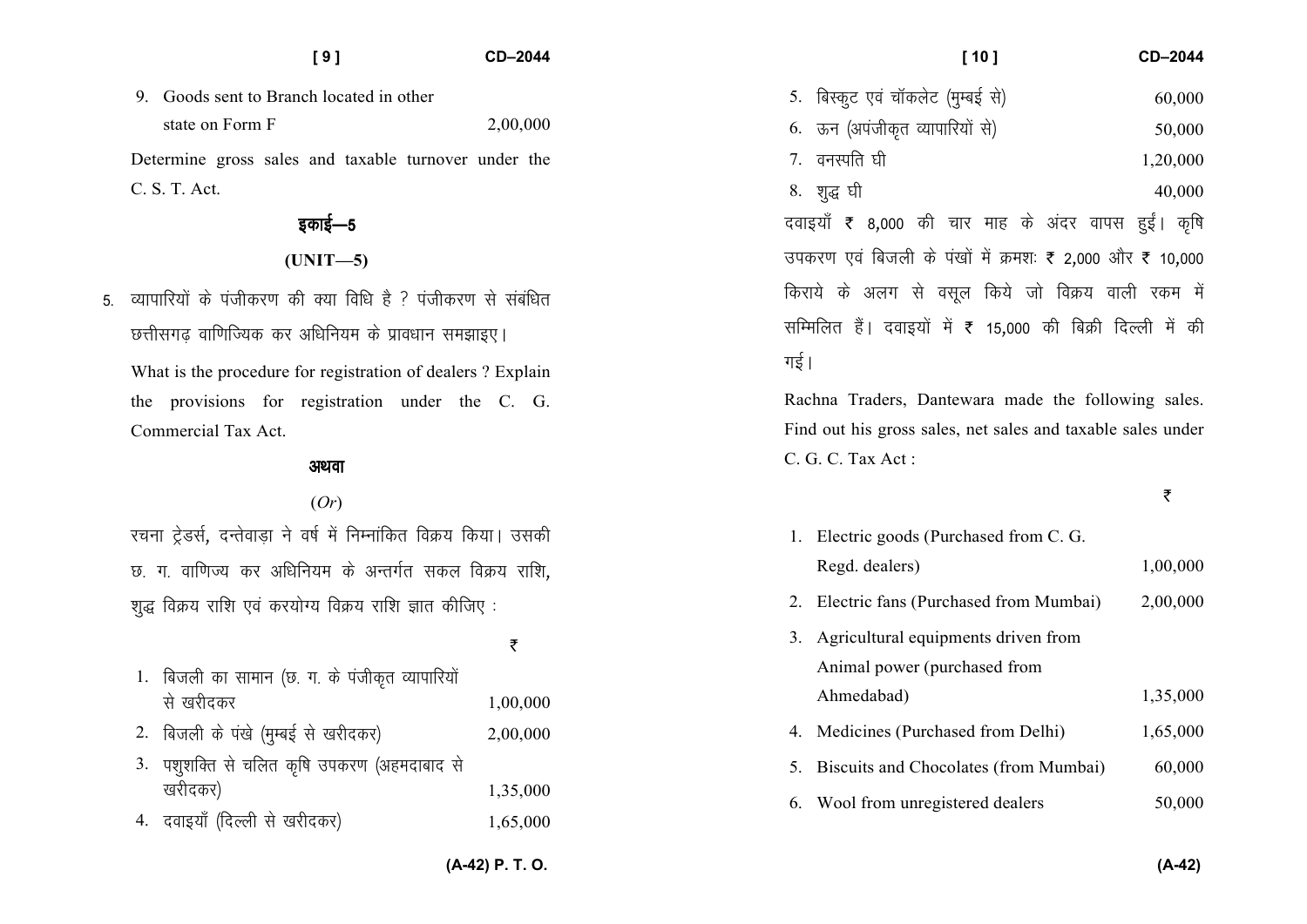| [9]                                                                | CD-2044  | $[10]$                                                      | CD-2044  |
|--------------------------------------------------------------------|----------|-------------------------------------------------------------|----------|
| 9. Goods sent to Branch located in other                           |          | 5. बिस्कुट एवं चॉकलेट (मुम्बई से)                           | 60,000   |
| state on Form F                                                    | 2,00,000 | 6. ऊन (अपंजीकृत व्यापारियों से)                             | 50,000   |
| Determine gross sales and taxable turnover under the               |          | 7. वनस्पति घी                                               | 1,20,000 |
| C. S. T. Act.                                                      |          | 8. शुद्ध घी                                                 | 40,000   |
| इकाई—5                                                             |          | दवाइयाँ ₹ 8,000 की चार माह के अंदर वापस हुईं। कृषि          |          |
| $(UNIT-5)$                                                         |          | उपकरण एवं बिजली के पंखों में क्रमशः ₹ 2,000 और ₹ 10,000     |          |
| 5. व्यापारियों के पंजीकरण की क्या विधि है ? पंजीकरण से संबंधित     |          | किराये के अलग से वसूल किये जो विक्रय वाली रकम में           |          |
| छत्तीसगढ़ वाणिज्यिक कर अधिनियम के प्रावधान समझाइए।                 |          | सम्मिलित हैं। दवाइयों में ₹ 15,000 की बिक्री दिल्ली में की  |          |
| What is the procedure for registration of dealers? Explain         |          | गई।                                                         |          |
| provisions for registration under the C. G.<br>the                 |          | Rachna Traders, Dantewara made the following sales.         |          |
| Commercial Tax Act.                                                |          | Find out his gross sales, net sales and taxable sales under |          |
| अथवा                                                               |          | C. G. C. Tax Act:                                           |          |
| (Or)                                                               |          |                                                             | ₹        |
| रचना ट्रेडर्स, दन्तेवाड़ा ने वर्ष में निम्नांकित विक्रय किया। उसकी |          | 1. Electric goods (Purchased from C. G.                     |          |
| छ. ग. वाणिज्य कर अधिनियम के अन्तर्गत सकल विक्रय राशि,              |          | Regd. dealers)                                              | 1,00,000 |
| शुद्ध विक्रय राशि एवं करयोग्य विक्रय राशि ज्ञात कीजिए :            |          | 2. Electric fans (Purchased from Mumbai)                    | 2,00,000 |
|                                                                    | ₹        | 3. Agricultural equipments driven from                      |          |
| 1. बिजली का सामान (छ. ग. के पंजीकृत व्यापारियों                    |          | Animal power (purchased from                                |          |
| से खरीदकर                                                          | 1,00,000 | Ahmedabad)                                                  | 1,35,000 |
| बिजली के पंखे (मुम्बई से खरीदकर)<br>2.                             | 2,00,000 | 4. Medicines (Purchased from Delhi)                         | 1,65,000 |
| 3. पशुशक्ति से चलित कृषि उपकरण (अहमदाबाद से                        |          | 5. Biscuits and Chocolates (from Mumbai)                    | 60,000   |
| खरीदकर)                                                            | 1,35,000 | Wool from unregistered dealers<br>6.                        | 50,000   |
| दवाइयाँ (दिल्ली से खरीदकर)                                         | 1,65,000 |                                                             |          |
|                                                                    |          |                                                             |          |

**(A-42) P. T. O.**

**(A-42)**